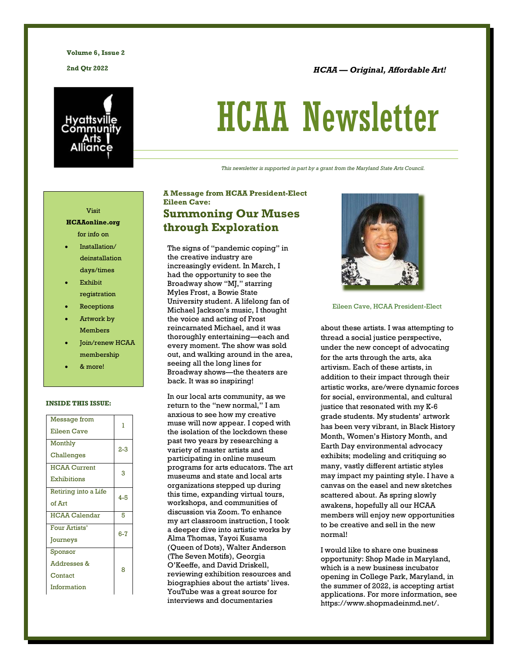#### **Volume 6, Issue 2**

**2nd Qtr 2022** *HCAA –– Original, Affordable Art!*

Hyattsvil Allianc

# HCAA Newsletter

*This newsletter is supported in part by a grant from the Maryland State Arts Council.*

#### Visit

#### **HCAAonline.org** for info on

- Installation/ deinstallation days/times
- **Exhibit** registration
- **Receptions**
- Artwork by Members
- Join/renew HCAA membership
- & more!

#### **INSIDE THIS ISSUE:**

| Message from         | 1       |  |
|----------------------|---------|--|
| Eileen Cave          |         |  |
| Monthly              | $2 - 3$ |  |
| Challenges           |         |  |
| <b>HCAA Current</b>  | 3       |  |
| <b>Exhibitions</b>   |         |  |
| Retiring into a Life | $4 - 5$ |  |
| of Art               |         |  |
| <b>HCAA Calendar</b> | 5       |  |
|                      |         |  |
| Four Artists'        |         |  |
| Journeys             | $6 - 7$ |  |
| Sponsor              |         |  |
| Addresses &          | Զ       |  |
| Contact              |         |  |

## **A Message from HCAA President-Elect Eileen Cave: Summoning Our Muses through Exploration**

The signs of "pandemic coping" in the creative industry are increasingly evident. In March, I had the opportunity to see the Broadway show "MJ," starring Myles Frost, a Bowie State University student. A lifelong fan of Michael Jackson's music, I thought the voice and acting of Frost reincarnated Michael, and it was thoroughly entertaining—each and every moment. The show was sold out, and walking around in the area, seeing all the long lines for Broadway shows—the theaters are back. It was so inspiring!

In our local arts community, as we return to the "new normal," I am anxious to see how my creative muse will now appear. I coped with the isolation of the lockdown these past two years by researching a variety of master artists and participating in online museum programs for arts educators. The art museums and state and local arts organizations stepped up during this time, expanding virtual tours, workshops, and communities of discussion via Zoom. To enhance my art classroom instruction, I took a deeper dive into artistic works by Alma Thomas, Yayoi Kusama (Queen of Dots), Walter Anderson (The Seven Motifs), Georgia O'Keeffe, and David Driskell, reviewing exhibition resources and biographies about the artists' lives. YouTube was a great source for interviews and documentaries



Eileen Cave, HCAA President-Elect

about these artists. I was attempting to thread a social justice perspective, under the new concept of advocating for the arts through the arts, aka artivism. Each of these artists, in addition to their impact through their artistic works, are/were dynamic forces for social, environmental, and cultural justice that resonated with my K-6 grade students. My students' artwork has been very vibrant, in Black History Month, Women's History Month, and Earth Day environmental advocacy exhibits; modeling and critiquing so many, vastly different artistic styles may impact my painting style. I have a canvas on the easel and new sketches scattered about. As spring slowly awakens, hopefully all our HCAA members will enjoy new opportunities to be creative and sell in the new normal!

I would like to share one business opportunity: Shop Made in Maryland, which is a new business incubator opening in College Park, Maryland, in the summer of 2022, is accepting artist applications. For more information, see https://www.shopmadeinmd.net/.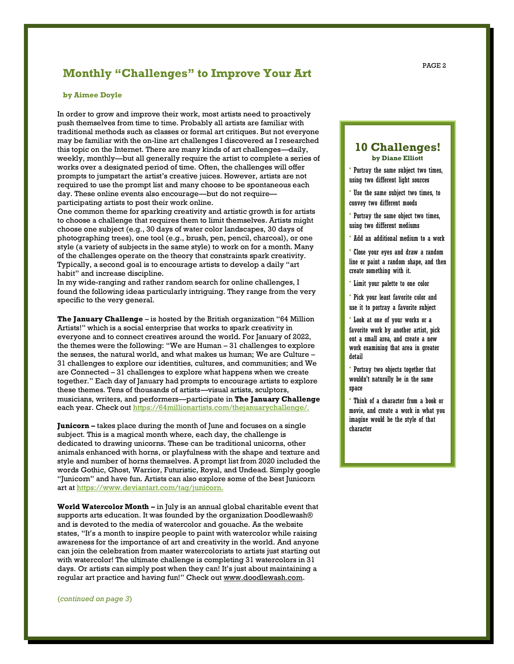# **Monthly "Challenges" to Improve Your Art**

#### **by Aimee Doyle**

In order to grow and improve their work, most artists need to proactively push themselves from time to time. Probably all artists are familiar with traditional methods such as classes or formal art critiques. But not everyone may be familiar with the on-line art challenges I discovered as I researched this topic on the Internet. There are many kinds of art challenges—daily, weekly, monthly—but all generally require the artist to complete a series of works over a designated period of time. Often, the challenges will offer prompts to jumpstart the artist's creative juices. However, artists are not required to use the prompt list and many choose to be spontaneous each day. These online events also encourage—but do not require participating artists to post their work online.

One common theme for sparking creativity and artistic growth is for artists to choose a challenge that requires them to limit themselves. Artists might choose one subject (e.g., 30 days of water color landscapes, 30 days of photographing trees), one tool (e.g., brush, pen, pencil, charcoal), or one style (a variety of subjects in the same style) to work on for a month. Many of the challenges operate on the theory that constraints spark creativity. Typically, a second goal is to encourage artists to develop a daily "art habit" and increase discipline.

In my wide-ranging and rather random search for online challenges, I found the following ideas particularly intriguing. They range from the very specific to the very general.

**The January Challenge** – is hosted by the British organization "64 Million Artists!" which is a social enterprise that works to spark creativity in everyone and to connect creatives around the world. For January of 2022, the themes were the following: "We are Human – 31 challenges to explore the senses, the natural world, and what makes us human; We are Culture – 31 challenges to explore our identities, cultures, and communities; and We are Connected – 31 challenges to explore what happens when we create together." Each day of January had prompts to encourage artists to explore these themes. Tens of thousands of artists—visual artists, sculptors, musicians, writers, and performers—participate in **The January Challenge** each year. Check ou[t https://64millionartists.com/thejanuarychallenge/.](https://64millionartists.com/thejanuarychallenge/)

**Junicorn –** takes place during the month of June and focuses on a single subject. This is a magical month where, each day, the challenge is dedicated to drawing unicorns. These can be traditional unicorns, other animals enhanced with horns, or playfulness with the shape and texture and style and number of horns themselves. A prompt list from 2020 included the words Gothic, Ghost, Warrior, Futuristic, Royal, and Undead. Simply google "Junicorn" and have fun. Artists can also explore some of the best Junicorn art a[t https://www.deviantart.com/tag/junicorn.](https://www.deviantart.com/tag/junicorn)

**World Watercolor Month –** in July is an annual global charitable event that supports arts education. It was founded by the organization Doodlewash® and is devoted to the media of watercolor and gouache. As the website states, "It's a month to inspire people to paint with watercolor while raising awareness for the importance of art and creativity in the world. And anyone can join the celebration from master watercolorists to artists just starting out with watercolor! The ultimate challenge is completing 31 watercolors in 31 days. Or artists can simply post when they can! It's just about maintaining a regular art practice and having fun!" Check out [www.doodlewash.com.](http://www.doodlewash.com/)

(*continued on page 3*)

# **10 Challenges!**

# **by Diane Elliott**

- · Portray the same subject two times, using two different light sources
- · Use the same subject two times, to convey two different moods
- · Portray the same object two times, using two different mediums
- · Add an additional medium to a work
- · Close your eyes and draw a random line or paint a random shape, and then create something with it.
- · Limit your palette to one color
- · Pick your least favorite color and use it to portray a favorite subject
- · Look at one of your works or a favorite work by another artist, pick out a small area, and create a new work examining that area in greater detail
- · Portray two objects together that wouldn't naturally be in the same space
- · Think of a character from a book or movie, and create a work in what you imagine would be the style of that character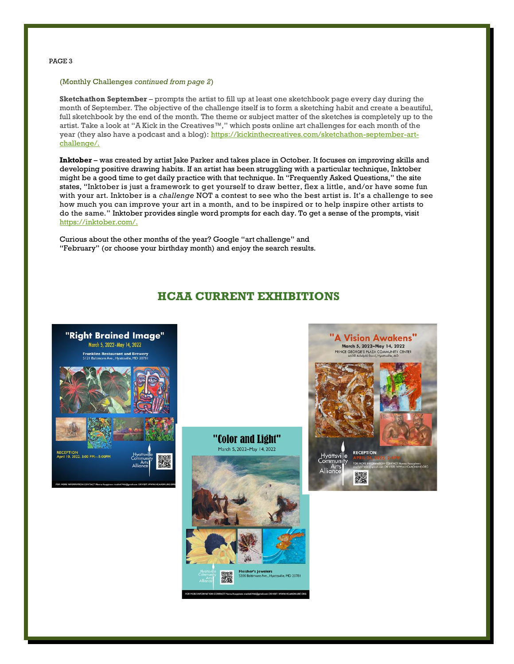PAGE 3

#### (Monthly Challenges *continued from page 2*)

**Sketchathon September** – prompts the artist to fill up at least one sketchbook page every day during the month of September. The objective of the challenge itself is to form a sketching habit and create a beautiful, full sketchbook by the end of the month. The theme or subject matter of the sketches is completely up to the artist. Take a look at "A Kick in the Creatives™," which posts online art challenges for each month of the year (they also have a podcast and a blog): [https://kickinthecreatives.com/sketchathon-september-art](https://kickinthecreatives.com/sketchathon-september-art-challenge/)[challenge/.](https://kickinthecreatives.com/sketchathon-september-art-challenge/)

**Inktober** – was created by artist Jake Parker and takes place in October. It focuses on improving skills and developing positive drawing habits. If an artist has been struggling with a particular technique, Inktober might be a good time to get daily practice with that technique. In "Frequently Asked Questions," the site states, "Inktober is just a framework to get yourself to draw better, flex a little, and/or have some fun with your art. Inktober is a *challenge* NOT a contest to see who the best artist is. It's a challenge to see how much you can improve your art in a month, and to be inspired or to help inspire other artists to do the same." Inktober provides single word prompts for each day. To get a sense of the prompts, visit [https://inktober.com/.](https://inktober.com/)

Curious about the other months of the year? Google "art challenge" and "February" (or choose your birthday month) and enjoy the search results.

# **HCAA CURRENT EXHIBITIONS**





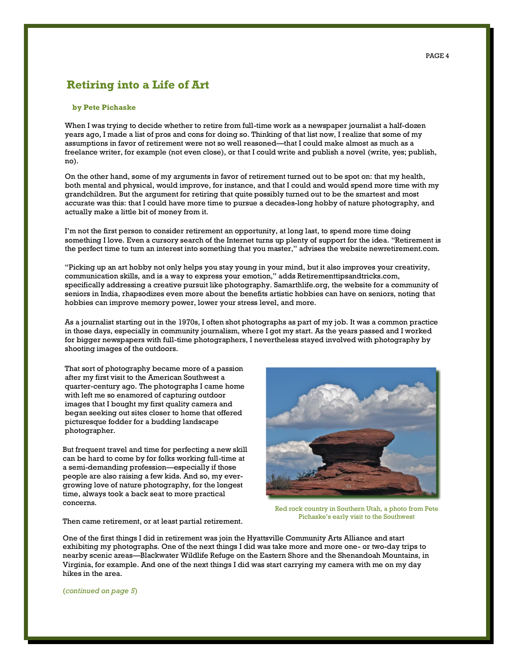# **Retiring into a Life of Art**

#### **by Pete Pichaske**

When I was trying to decide whether to retire from full-time work as a newspaper journalist a half-dozen years ago, I made a list of pros and cons for doing so. Thinking of that list now, I realize that some of my assumptions in favor of retirement were not so well reasoned—that I could make almost as much as a freelance writer, for example (not even close), or that I could write and publish a novel (write, yes; publish, no).

On the other hand, some of my arguments in favor of retirement turned out to be spot on: that my health, both mental and physical, would improve, for instance, and that I could and would spend more time with my grandchildren. But the argument for retiring that quite possibly turned out to be the smartest and most accurate was this: that I could have more time to pursue a decades-long hobby of nature photography, and actually make a little bit of money from it.

I'm not the first person to consider retirement an opportunity, at long last, to spend more time doing something I love. Even a cursory search of the Internet turns up plenty of support for the idea. "Retirement is the perfect time to turn an interest into something that you master," advises the website newretirement.com.

"Picking up an art hobby not only helps you stay young in your mind, but it also improves your creativity, communication skills, and is a way to express your emotion," adds Retirementtipsandtricks.com, specifically addressing a creative pursuit like photography. Samarthlife.org, the website for a community of seniors in India, rhapsodizes even more about the benefits artistic hobbies can have on seniors, noting that hobbies can improve memory power, lower your stress level, and more.

As a journalist starting out in the 1970s, I often shot photographs as part of my job. It was a common practice in those days, especially in community journalism, where I got my start. As the years passed and I worked for bigger newspapers with full-time photographers, I nevertheless stayed involved with photography by shooting images of the outdoors.

That sort of photography became more of a passion after my first visit to the American Southwest a quarter-century ago. The photographs I came home with left me so enamored of capturing outdoor images that I bought my first quality camera and began seeking out sites closer to home that offered picturesque fodder for a budding landscape photographer.

But frequent travel and time for perfecting a new skill can be hard to come by for folks working full-time at a semi-demanding profession—especially if those people are also raising a few kids. And so, my evergrowing love of nature photography, for the longest time, always took a back seat to more practical concerns.

Then came retirement, or at least partial retirement.

Red rock country in Southern Utah, a photo from Pete Pichaske's early visit to the Southwest

One of the first things I did in retirement was join the Hyattsville Community Arts Alliance and start exhibiting my photographs. One of the next things I did was take more and more one- or two-day trips to nearby scenic areas—Blackwater Wildlife Refuge on the Eastern Shore and the Shenandoah Mountains, in Virginia, for example. And one of the next things I did was start carrying my camera with me on my day hikes in the area.

(*continued on page 5*)

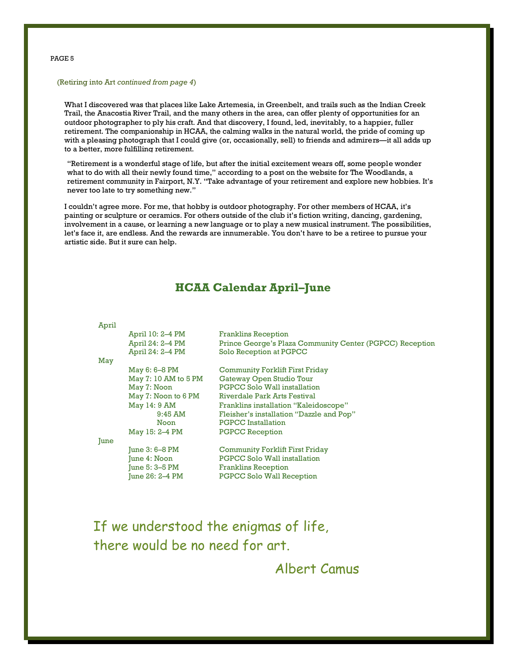#### (Retiring into Art *continued from page 4*)

What I discovered was that places like Lake Artemesia, in Greenbelt, and trails such as the Indian Creek Trail, the Anacostia River Trail, and the many others in the area, can offer plenty of opportunities for an outdoor photographer to ply his craft. And that discovery, I found, led, inevitably, to a happier, fuller retirement. The companionship in HCAA, the calming walks in the natural world, the pride of coming up with a pleasing photograph that I could give (or, occasionally, sell) to friends and admirers—it all adds up to a better, more fulfilling retirement.

"Retirement is a wonderful stage of life, but after the initial excitement wears off, some people wonder what to do with all their newly found time," according to a post on the website for The Woodlands, a retirement community in Fairport, N.Y. "Take advantage of your retirement and explore new hobbies. It's never too late to try something new."

I couldn't agree more. For me, that hobby is outdoor photography. For other members of HCAA, it's painting or sculpture or ceramics. For others outside of the club it's fiction writing, dancing, gardening, involvement in a cause, or learning a new language or to play a new musical instrument. The possibilities, let's face it, are endless. And the rewards are innumerable. You don't have to be a retiree to pursue your artistic side. But it sure can help.

# **HCAA Calendar April–June**

#### April

|      | April 10: 2–4 PM<br>April 24: 2–4 PM<br>April 24: 2-4 PM | <b>Franklins Reception</b><br>Prince George's Plaza Community Center (PGPCC) Reception<br>Solo Reception at PGPCC |
|------|----------------------------------------------------------|-------------------------------------------------------------------------------------------------------------------|
| May  |                                                          |                                                                                                                   |
|      | May $6:6-8$ PM                                           | <b>Community Forklift First Friday</b>                                                                            |
|      | May 7: 10 AM to 5 PM                                     | Gateway Open Studio Tour                                                                                          |
|      | May 7: Noon                                              | PGPCC Solo Wall installation                                                                                      |
|      | May 7: Noon to 6 PM                                      | Riverdale Park Arts Festival                                                                                      |
|      | May 14: 9 AM                                             | Franklins installation "Kaleidoscope"                                                                             |
|      | $9:45$ AM                                                | Fleisher's installation "Dazzle and Pop"                                                                          |
|      | Noon                                                     | <b>PGPCC</b> Installation                                                                                         |
|      | May 15: 2–4 PM                                           | <b>PGPCC Reception</b>                                                                                            |
| June |                                                          |                                                                                                                   |
|      | June $3:6-8$ PM                                          | <b>Community Forklift First Friday</b>                                                                            |
|      | June 4: Noon                                             | PGPCC Solo Wall installation                                                                                      |
|      | June 5: 3–5 PM                                           | <b>Franklins Reception</b>                                                                                        |
|      | June 26: 2–4 PM                                          | PGPCC Solo Wall Reception                                                                                         |

If we understood the enigmas of life, there would be no need for art.

Albert Camus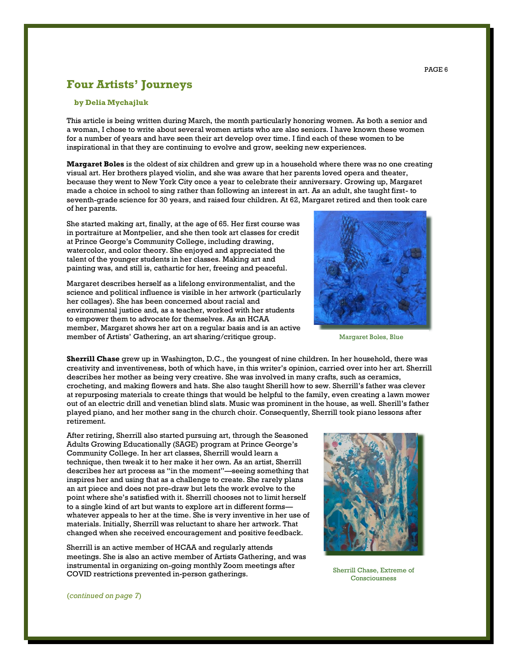# **Four Artists' Journeys**

#### **by Delia Mychajluk**

This article is being written during March, the month particularly honoring women. As both a senior and a woman, I chose to write about several women artists who are also seniors. I have known these women for a number of years and have seen their art develop over time. I find each of these women to be inspirational in that they are continuing to evolve and grow, seeking new experiences.

**Margaret Boles** is the oldest of six children and grew up in a household where there was no one creating visual art. Her brothers played violin, and she was aware that her parents loved opera and theater, because they went to New York City once a year to celebrate their anniversary. Growing up, Margaret made a choice in school to sing rather than following an interest in art. As an adult, she taught first- to seventh-grade science for 30 years, and raised four children. At 62, Margaret retired and then took care of her parents.

She started making art, finally, at the age of 65. Her first course was in portraiture at Montpelier, and she then took art classes for credit at Prince George's Community College, including drawing, watercolor, and color theory. She enjoyed and appreciated the talent of the younger students in her classes. Making art and painting was, and still is, cathartic for her, freeing and peaceful.





Margaret Boles, Blue

**Sherrill Chase** grew up in Washington, D.C., the youngest of nine children. In her household, there was creativity and inventiveness, both of which have, in this writer's opinion, carried over into her art. Sherrill describes her mother as being very creative. She was involved in many crafts, such as ceramics, crocheting, and making flowers and hats. She also taught Sherill how to sew. Sherrill's father was clever at repurposing materials to create things that would be helpful to the family, even creating a lawn mower out of an electric drill and venetian blind slats. Music was prominent in the house, as well. Sherill's father played piano, and her mother sang in the church choir. Consequently, Sherrill took piano lessons after retirement.

After retiring, Sherrill also started pursuing art, through the Seasoned Adults Growing Educationally (SAGE) program at Prince George's Community College. In her art classes, Sherrill would learn a technique, then tweak it to her make it her own. As an artist, Sherrill describes her art process as "in the moment"—seeing something that inspires her and using that as a challenge to create. She rarely plans an art piece and does not pre-draw but lets the work evolve to the point where she's satisfied with it. Sherrill chooses not to limit herself to a single kind of art but wants to explore art in different forms whatever appeals to her at the time. She is very inventive in her use of materials. Initially, Sherrill was reluctant to share her artwork. That changed when she received encouragement and positive feedback.

Sherrill is an active member of HCAA and regularly attends meetings. She is also an active member of Artists Gathering, and was instrumental in organizing on-going monthly Zoom meetings after COVID restrictions prevented in-person gatherings.



Sherrill Chase, Extreme of Consciousness

(*continued on page 7*)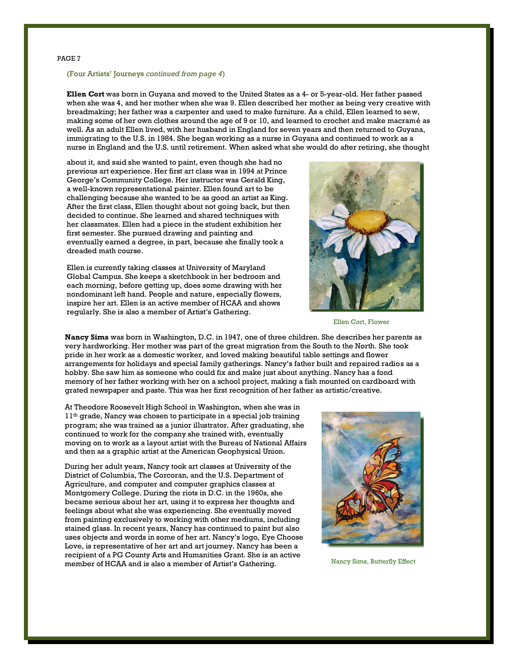#### PAGE 7

#### (Four Artists' Journeys *continued from page 4*)

**Ellen Cort** was born in Guyana and moved to the United States as a 4- or 5-year-old. Her father passed when she was 4, and her mother when she was 9. Ellen described her mother as being very creative with breadmaking; her father was a carpenter and used to make furniture. As a child, Ellen learned to sew, making some of her own clothes around the age of 9 or 10, and learned to crochet and make macramé as well. As an adult Ellen lived, with her husband in England for seven years and then returned to Guyana, immigrating to the U.S. in 1984. She began working as a nurse in Guyana and continued to work as a nurse in England and the U.S. until retirement. When asked what she would do after retiring, she thought

about it, and said she wanted to paint, even though she had no previous art experience. Her first art class was in 1994 at Prince George's Community College. Her instructor was Gerald King, a well-known representational painter. Ellen found art to be challenging because she wanted to be as good an artist as King. After the first class, Ellen thought about not going back, but then decided to continue. She learned and shared techniques with her classmates. Ellen had a piece in the student exhibition her first semester. She pursued drawing and painting and eventually earned a degree, in part, because she finally took a dreaded math course.

Ellen is currently taking classes at University of Maryland Global Campus. She keeps a sketchbook in her bedroom and each morning, before getting up, does some drawing with her nondominant left hand. People and nature, especially flowers, inspire her art. Ellen is an active member of HCAA and shows regularly. She is also a member of Artist's Gathering.



Ellen Cort, Flower

**Nancy Sims** was born in Washington, D.C. in 1947, one of three children. She describes her parents as very hardworking. Her mother was part of the great migration from the South to the North. She took pride in her work as a domestic worker, and loved making beautiful table settings and flower arrangements for holidays and special family gatherings. Nancy's father built and repaired radios as a hobby. She saw him as someone who could fix and make just about anything. Nancy has a fond memory of her father working with her on a school project, making a fish mounted on cardboard with grated newspaper and paste. This was her first recognition of her father as artistic/creative.

At Theodore Roosevelt High School in Washington, when she was in  $11<sup>th</sup>$  grade, Nancy was chosen to participate in a special job training program; she was trained as a junior illustrator. After graduating, she continued to work for the company she trained with, eventually moving on to work as a layout artist with the Bureau of National Affairs and then as a graphic artist at the American Geophysical Union.

During her adult years, Nancy took art classes at University of the District of Columbia, The Corcoran, and the U.S. Department of Agriculture, and computer and computer graphics classes at Montgomery College. During the riots in D.C. in the 1960s, she became serious about her art, using it to express her thoughts and feelings about what she was experiencing. She eventually moved from painting exclusively to working with other mediums, including stained glass. In recent years, Nancy has continued to paint but also uses objects and words in some of her art. Nancy's logo, Eye Choose Love, is representative of her art and art journey. Nancy has been a recipient of a PG County Arts and Humanities Grant. She is an active member of HCAA and is also a member of Artist's Gathering. Nancy Sims, Butterfly Effect